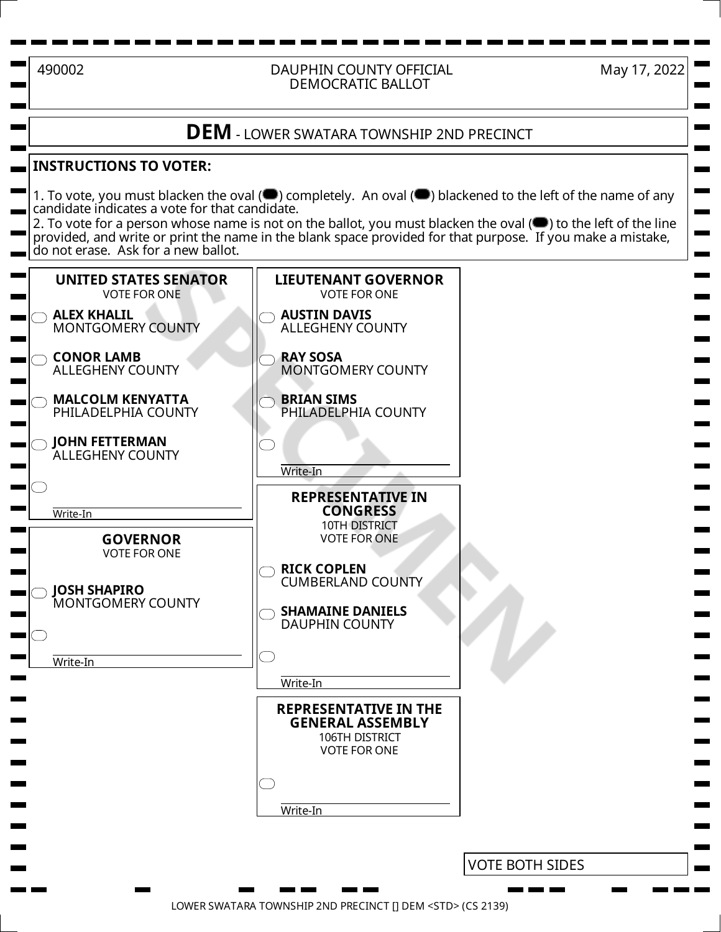## 490002 DAUPHIN COUNTY OFFICIAL DEMOCRATIC BALLOT

May 17, 2022

## **DEM** - LOWER SWATARA TOWNSHIP 2ND PRECINCT

## **INSTRUCTIONS TO VOTER:**

1. To vote, you must blacken the oval (<sup>1</sup>) completely. An oval (<sup>2</sup>) blackened to the left of the name of any candidate indicates a vote for that candidate.

2. To vote for a person whose name is not on the ballot, you must blacken the oval  $(\bullet)$  to the left of the line provided, and write or print the name in the blank space provided for that purpose. If you make a mistake, do not erase. Ask for a new ballot.



VOTE BOTH SIDES